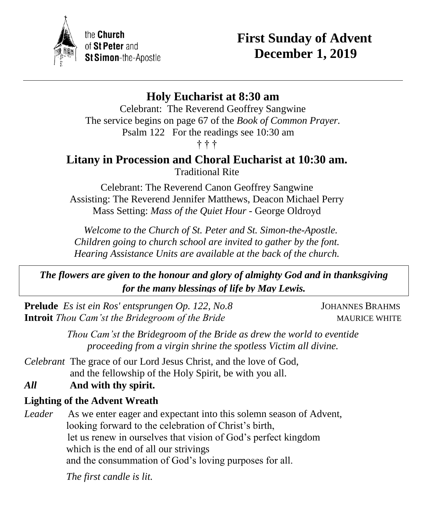

the **Church** of St Peter and St Simon-the-Apostle

# **First Sunday of Advent December 1, 2019**

# **Holy Eucharist at 8:30 am**

Celebrant: The Reverend Geoffrey Sangwine The service begins on page 67 of the *Book of Common Prayer.* Psalm 122 For the readings see 10:30 am † † †

## **Litany in Procession and Choral Eucharist at 10:30 am.** Traditional Rite

Celebrant: The Reverend Canon Geoffrey Sangwine Assisting: The Reverend Jennifer Matthews, Deacon Michael Perry Mass Setting: *Mass of the Quiet Hour* - George Oldroyd

 *Welcome to the Church of St. Peter and St. Simon-the-Apostle. Children going to church school are invited to gather by the font. Hearing Assistance Units are available at the back of the church.*

*The flowers are given to the honour and glory of almighty God and in thanksgiving for the many blessings of life by May Lewis.*

**Prelude** *Es ist ein Ros' entsprungen Op. 122, No.8* JOHANNES BRAHMS **Introit** *Thou Cam'st the Bridegroom of the Bride* MAURICE WHITE

*Thou Cam'st the Bridegroom of the Bride as drew the world to eventide proceeding from a virgin shrine the spotless Victim all divine.*

- *Celebrant* The grace of our Lord Jesus Christ, and the love of God, and the fellowship of the Holy Spirit, be with you all.
- *All* **And with thy spirit.**

## **Lighting of the Advent Wreath**

*Leader* As we enter eager and expectant into this solemn season of Advent, looking forward to the celebration of Christ's birth, let us renew in ourselves that vision of God's perfect kingdom which is the end of all our strivings and the consummation of God's loving purposes for all.

*The first candle is lit.*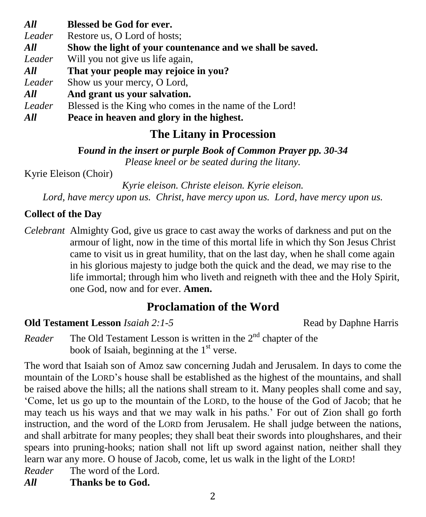*All* **Blessed be God for ever.** *Leader* Restore us, O Lord of hosts; *All* **Show the light of your countenance and we shall be saved.** *Leader* Will you not give us life again, *All* **That your people may rejoice in you?** *Leader* Show us your mercy, O Lord, *All* **And grant us your salvation.** Leader Blessed is the King who comes in the name of the Lord!

*All* **Peace in heaven and glory in the highest.**

# **The Litany in Procession**

**F***ound in the insert or purple Book of Common Prayer pp. 30-34 Please kneel or be seated during the litany.*

Kyrie Eleison (Choir)

*Kyrie eleison. Christe eleison. Kyrie eleison. Lord, have mercy upon us. Christ, have mercy upon us. Lord, have mercy upon us.*

## **Collect of the Day**

*Celebrant* Almighty God, give us grace to cast away the works of darkness and put on the armour of light, now in the time of this mortal life in which thy Son Jesus Christ came to visit us in great humility, that on the last day, when he shall come again in his glorious majesty to judge both the quick and the dead, we may rise to the life immortal; through him who liveth and reigneth with thee and the Holy Spirit, one God, now and for ever. **Amen.**

# **Proclamation of the Word**

## **Old Testament Lesson** *Isaiah 2:1-5*Read by Daphne Harris

Reader The Old Testament Lesson is written in the 2<sup>nd</sup> chapter of the book of Isaiah, beginning at the  $1<sup>st</sup>$  verse.

The word that Isaiah son of Amoz saw concerning Judah and Jerusalem. In days to come the mountain of the LORD's house shall be established as the highest of the mountains, and shall be raised above the hills; all the nations shall stream to it. Many peoples shall come and say, 'Come, let us go up to the mountain of the LORD, to the house of the God of Jacob; that he may teach us his ways and that we may walk in his paths.' For out of Zion shall go forth instruction, and the word of the LORD from Jerusalem. He shall judge between the nations, and shall arbitrate for many peoples; they shall beat their swords into ploughshares, and their spears into pruning-hooks; nation shall not lift up sword against nation, neither shall they learn war any more. O house of Jacob, come, let us walk in the light of the LORD! *Reader* The word of the Lord.

*All* **Thanks be to God.**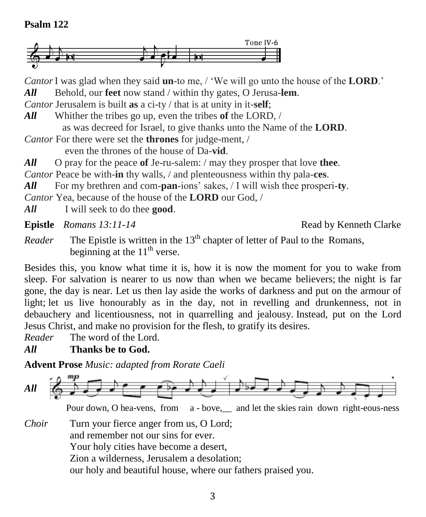#### **Psalm 122**



*Cantor*I was glad when they said **un**-to me, / 'We will go unto the house of the **LORD**.' *All* Behold, our **feet** now stand / within thy gates, O Jerusa-**lem**.

*Cantor* Jerusalem is built **as** a ci-ty / that is at unity in it-**self**;

*All* Whither the tribes go up, even the tribes **of** the LORD, /

as was decreed for Israel, to give thanks unto the Name of the **LORD**.

*Cantor* For there were set the **thrones** for judge-ment, /

even the thrones of the house of Da-**vid**.

*All* O pray for the peace **of** Je-ru-salem: / may they prosper that love **thee**.

*Cantor* Peace be with-**in** thy walls, / and plenteousness within thy pala-**ces**.

*All* For my brethren and com-**pan**-ions' sakes, / I will wish thee prosperi-**ty**.

*Cantor* Yea, because of the house of the **LORD** our God, /

*All* I will seek to do thee **good**.

**Epistle** *Romans 13:11-14* **Read by Kenneth Clarke** 

*Reader* The Epistle is written in the  $13<sup>th</sup>$  chapter of letter of Paul to the Romans, beginning at the  $11<sup>th</sup>$  verse.

Besides this, you know what time it is, how it is now the moment for you to wake from sleep. For salvation is nearer to us now than when we became believers; the night is far gone, the day is near. Let us then lay aside the works of darkness and put on the armour of light; let us live honourably as in the day, not in revelling and drunkenness, not in debauchery and licentiousness, not in quarrelling and jealousy. Instead, put on the Lord Jesus Christ, and make no provision for the flesh, to gratify its desires.

*Reader* The word of the Lord.

*All* **Thanks be to God.**

**Advent Prose** *Music: adapted from Rorate Caeli*



Pour down, O hea-vens, from a - bove, and let the skies rain down right-eous-ness

*Choir* Turn your fierce anger from us, O Lord; and remember not our sins for ever. Your holy cities have become a desert, Zion a wilderness, Jerusalem a desolation; our holy and beautiful house, where our fathers praised you.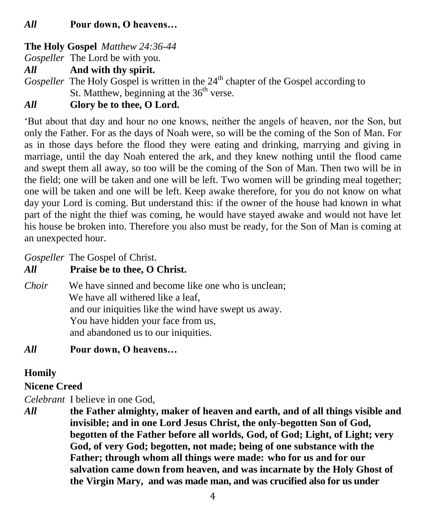#### **The Holy Gospel** *Matthew 24:36-44*

*Gospeller* The Lord be with you.

*All* **And with thy spirit.**

*Gospeller* The Holy Gospel is written in the 24<sup>th</sup> chapter of the Gospel according to St. Matthew, beginning at the  $36<sup>th</sup>$  verse.

## *All* **Glory be to thee, O Lord.**

'But about that day and hour no one knows, neither the angels of heaven, nor the Son, but only the Father. For as the days of Noah were, so will be the coming of the Son of Man. For as in those days before the flood they were eating and drinking, marrying and giving in marriage, until the day Noah entered the ark, and they knew nothing until the flood came and swept them all away, so too will be the coming of the Son of Man. Then two will be in the field; one will be taken and one will be left. Two women will be grinding meal together; one will be taken and one will be left. Keep awake therefore, for you do not know on what day your Lord is coming. But understand this: if the owner of the house had known in what part of the night the thief was coming, he would have stayed awake and would not have let his house be broken into. Therefore you also must be ready, for the Son of Man is coming at an unexpected hour.

*Gospeller* The Gospel of Christ.

#### *All* **Praise be to thee, O Christ.**

*Choir* We have sinned and become like one who is unclean; We have all withered like a leaf. and our iniquities like the wind have swept us away. You have hidden your face from us, and abandoned us to our iniquities.

## *All* **Pour down, O heavens…**

## **Homily**

#### **Nicene Creed**

*Celebrant* I believe in one God,

*All* **the Father almighty, maker of heaven and earth, and of all things visible and invisible; and in one Lord Jesus Christ, the only-begotten Son of God, begotten of the Father before all worlds, God, of God; Light, of Light; very God, of very God; begotten, not made; being of one substance with the Father; through whom all things were made: who for us and for our salvation came down from heaven, and was incarnate by the Holy Ghost of the Virgin Mary, and was made man, and was crucified also for us under**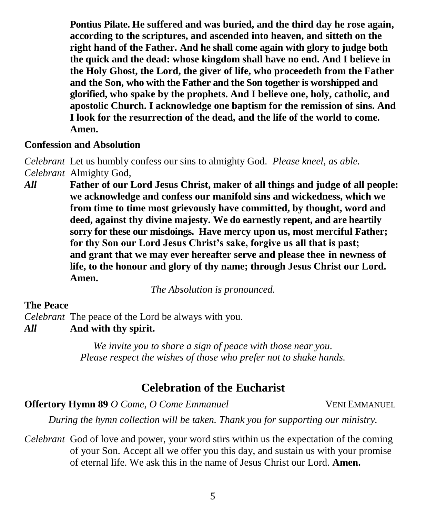**Pontius Pilate. He suffered and was buried, and the third day he rose again, according to the scriptures, and ascended into heaven, and sitteth on the right hand of the Father. And he shall come again with glory to judge both the quick and the dead: whose kingdom shall have no end. And I believe in the Holy Ghost, the Lord, the giver of life, who proceedeth from the Father and the Son, who with the Father and the Son together is worshipped and glorified, who spake by the prophets. And I believe one, holy, catholic, and apostolic Church. I acknowledge one baptism for the remission of sins. And I look for the resurrection of the dead, and the life of the world to come. Amen.**

#### **Confession and Absolution**

*Celebrant* Let us humbly confess our sins to almighty God. *Please kneel, as able. Celebrant* Almighty God,

*All* **Father of our Lord Jesus Christ, maker of all things and judge of all people: we acknowledge and confess our manifold sins and wickedness, which we from time to time most grievously have committed, by thought, word and deed, against thy divine majesty. We do earnestly repent, and are heartily sorry for these our misdoings. Have mercy upon us, most merciful Father; for thy Son our Lord Jesus Christ's sake, forgive us all that is past; and grant that we may ever hereafter serve and please thee in newness of life, to the honour and glory of thy name; through Jesus Christ our Lord. Amen.**

*The Absolution is pronounced.*

#### **The Peace**

*Celebrant* The peace of the Lord be always with you. *All* **And with thy spirit.**

> *We invite you to share a sign of peace with those near you. Please respect the wishes of those who prefer not to shake hands.*

# **Celebration of the Eucharist**

**Offertory Hymn 89** *O Come, O Come Emmanuel* VENI EMMANUEL

*During the hymn collection will be taken. Thank you for supporting our ministry.*

*Celebrant* God of love and power, your word stirs within us the expectation of the coming of your Son. Accept all we offer you this day, and sustain us with your promise of eternal life. We ask this in the name of Jesus Christ our Lord. **Amen.**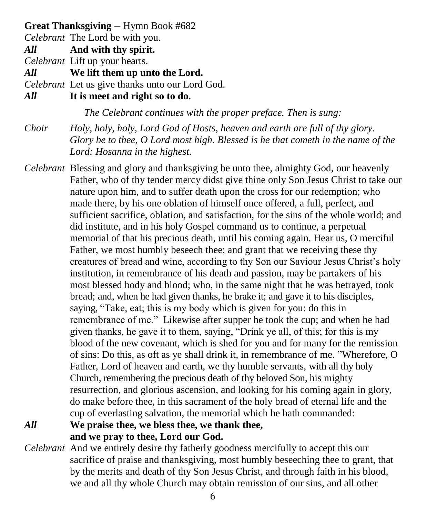#### **Great Thanksgiving –** Hymn Book #682

*Celebrant* The Lord be with you.

*All* **And with thy spirit.**

*Celebrant* Lift up your hearts.

*All* **We lift them up unto the Lord.**

*Celebrant* Let us give thanks unto our Lord God.

*All* **It is meet and right so to do.**

*The Celebrant continues with the proper preface. Then is sung:*

*Choir Holy, holy, holy, Lord God of Hosts, heaven and earth are full of thy glory. Glory be to thee, O Lord most high. Blessed is he that cometh in the name of the Lord: Hosanna in the highest.*

- *Celebrant* Blessing and glory and thanksgiving be unto thee, almighty God, our heavenly Father, who of thy tender mercy didst give thine only Son Jesus Christ to take our nature upon him, and to suffer death upon the cross for our redemption; who made there, by his one oblation of himself once offered, a full, perfect, and sufficient sacrifice, oblation, and satisfaction, for the sins of the whole world; and did institute, and in his holy Gospel command us to continue, a perpetual memorial of that his precious death, until his coming again. Hear us, O merciful Father, we most humbly beseech thee; and grant that we receiving these thy creatures of bread and wine, according to thy Son our Saviour Jesus Christ's holy institution, in remembrance of his death and passion, may be partakers of his most blessed body and blood; who, in the same night that he was betrayed, took bread; and, when he had given thanks, he brake it; and gave it to his disciples, saying, "Take, eat; this is my body which is given for you: do this in remembrance of me." Likewise after supper he took the cup; and when he had given thanks, he gave it to them, saying, "Drink ye all, of this; for this is my blood of the new covenant, which is shed for you and for many for the remission of sins: Do this, as oft as ye shall drink it, in remembrance of me. "Wherefore, O Father, Lord of heaven and earth, we thy humble servants, with all thy holy Church, remembering the precious death of thy beloved Son, his mighty resurrection, and glorious ascension, and looking for his coming again in glory, do make before thee, in this sacrament of the holy bread of eternal life and the cup of everlasting salvation, the memorial which he hath commanded:
- *All* **We praise thee, we bless thee, we thank thee, and we pray to thee, Lord our God.**
- *Celebrant* And we entirely desire thy fatherly goodness mercifully to accept this our sacrifice of praise and thanksgiving, most humbly beseeching thee to grant, that by the merits and death of thy Son Jesus Christ, and through faith in his blood, we and all thy whole Church may obtain remission of our sins, and all other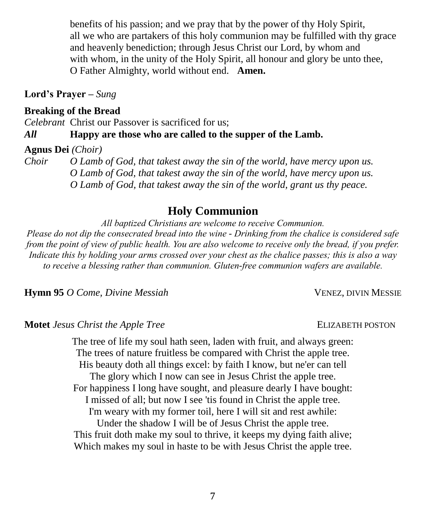benefits of his passion; and we pray that by the power of thy Holy Spirit, all we who are partakers of this holy communion may be fulfilled with thy grace and heavenly benediction; through Jesus Christ our Lord, by whom and with whom, in the unity of the Holy Spirit, all honour and glory be unto thee, O Father Almighty, world without end. **Amen.**

**Lord's Prayer –** *Sung*

### **Breaking of the Bread**

*Celebrant* Christ our Passover is sacrificed for us;

*All* **Happy are those who are called to the supper of the Lamb.**

#### **Agnus Dei** *(Choir)*

*Choir O Lamb of God, that takest away the sin of the world, have mercy upon us. O Lamb of God, that takest away the sin of the world, have mercy upon us. O Lamb of God, that takest away the sin of the world, grant us thy peace.*

# **Holy Communion**

*All baptized Christians are welcome to receive Communion.*

*Please do not dip the consecrated bread into the wine - Drinking from the chalice is considered safe from the point of view of public health. You are also welcome to receive only the bread, if you prefer. Indicate this by holding your arms crossed over your chest as the chalice passes; this is also a way to receive a blessing rather than communion. Gluten-free communion wafers are available.*

**Hymn 95** *O Come, Divine Messiah* VENEZ, DIVIN MESSIE

**Motet** *Jesus Christ the Apple Tree* ELIZABETH POSTON

The tree of life my soul hath seen, laden with fruit, and always green: The trees of nature fruitless be compared with Christ the apple tree. His beauty doth all things excel: by faith I know, but ne'er can tell The glory which I now can see in Jesus Christ the apple tree. For happiness I long have sought, and pleasure dearly I have bought: I missed of all; but now I see 'tis found in Christ the apple tree. I'm weary with my former toil, here I will sit and rest awhile: Under the shadow I will be of Jesus Christ the apple tree. This fruit doth make my soul to thrive, it keeps my dying faith alive; Which makes my soul in haste to be with Jesus Christ the apple tree.